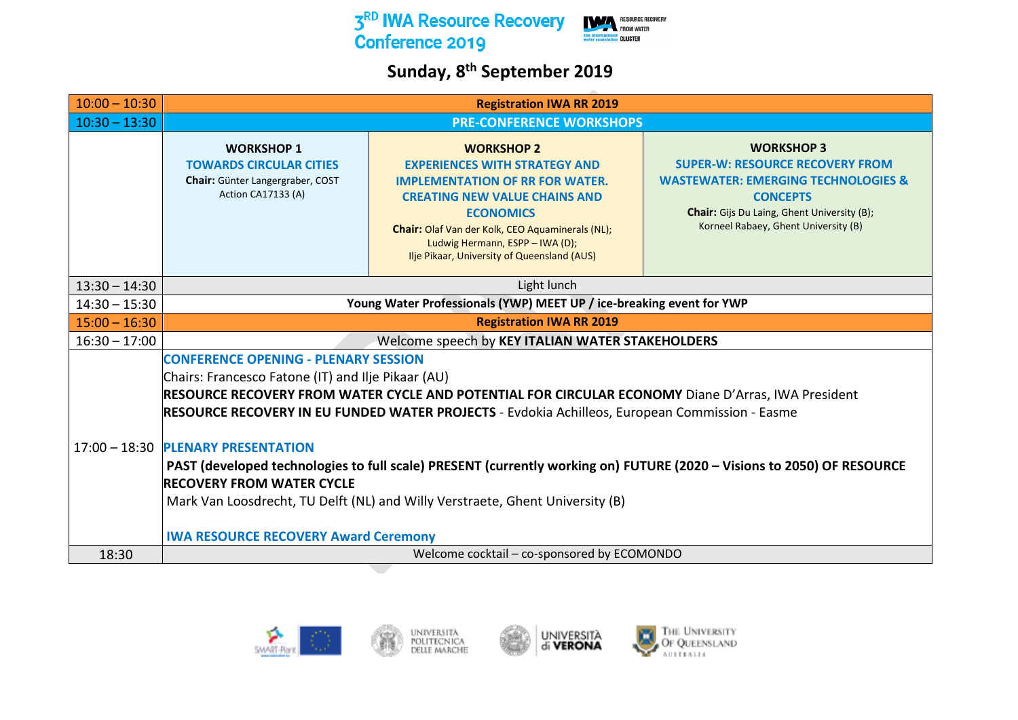

## **Sunday, 8th September 2019**

| $10:00 - 10:30$ | <b>Registration IWA RR 2019</b>                                                                                                                                                                                                                                                                           |                                                                                                                                                                                                                                                                                                       |                                                                                                                                                                                                                         |  |
|-----------------|-----------------------------------------------------------------------------------------------------------------------------------------------------------------------------------------------------------------------------------------------------------------------------------------------------------|-------------------------------------------------------------------------------------------------------------------------------------------------------------------------------------------------------------------------------------------------------------------------------------------------------|-------------------------------------------------------------------------------------------------------------------------------------------------------------------------------------------------------------------------|--|
| $10:30 - 13:30$ | <b>PRE-CONFERENCE WORKSHOPS</b>                                                                                                                                                                                                                                                                           |                                                                                                                                                                                                                                                                                                       |                                                                                                                                                                                                                         |  |
|                 | <b>WORKSHOP 1</b><br><b>TOWARDS CIRCULAR CITIES</b><br>Chair: Günter Langergraber, COST<br>Action CA17133 (A)                                                                                                                                                                                             | <b>WORKSHOP 2</b><br><b>EXPERIENCES WITH STRATEGY AND</b><br><b>IMPLEMENTATION OF RR FOR WATER.</b><br><b>CREATING NEW VALUE CHAINS AND</b><br><b>ECONOMICS</b><br>Chair: Olaf Van der Kolk, CEO Aquaminerals (NL);<br>Ludwig Hermann, ESPP - IWA (D);<br>Ilje Pikaar, University of Queensland (AUS) | <b>WORKSHOP 3</b><br><b>SUPER-W: RESOURCE RECOVERY FROM</b><br><b>WASTEWATER: EMERGING TECHNOLOGIES &amp;</b><br><b>CONCEPTS</b><br>Chair: Gijs Du Laing, Ghent University (B);<br>Korneel Rabaey, Ghent University (B) |  |
| $13:30 - 14:30$ |                                                                                                                                                                                                                                                                                                           | Light lunch                                                                                                                                                                                                                                                                                           |                                                                                                                                                                                                                         |  |
| $14:30 - 15:30$ |                                                                                                                                                                                                                                                                                                           | Young Water Professionals (YWP) MEET UP / ice-breaking event for YWP                                                                                                                                                                                                                                  |                                                                                                                                                                                                                         |  |
| $15:00 - 16:30$ |                                                                                                                                                                                                                                                                                                           | <b>Registration IWA RR 2019</b>                                                                                                                                                                                                                                                                       |                                                                                                                                                                                                                         |  |
| $16:30 - 17:00$ | Welcome speech by KEY ITALIAN WATER STAKEHOLDERS                                                                                                                                                                                                                                                          |                                                                                                                                                                                                                                                                                                       |                                                                                                                                                                                                                         |  |
|                 | <b>CONFERENCE OPENING - PLENARY SESSION</b><br>Chairs: Francesco Fatone (IT) and Ilje Pikaar (AU)<br>RESOURCE RECOVERY FROM WATER CYCLE AND POTENTIAL FOR CIRCULAR ECONOMY Diane D'Arras, IWA President<br>RESOURCE RECOVERY IN EU FUNDED WATER PROJECTS - Evdokia Achilleos, European Commission - Easme |                                                                                                                                                                                                                                                                                                       |                                                                                                                                                                                                                         |  |
|                 | 17:00 - 18:30 PLENARY PRESENTATION<br><b>RECOVERY FROM WATER CYCLE</b><br><b>IWA RESOURCE RECOVERY Award Ceremony</b>                                                                                                                                                                                     | PAST (developed technologies to full scale) PRESENT (currently working on) FUTURE (2020 - Visions to 2050) OF RESOURCE<br>Mark Van Loosdrecht, TU Delft (NL) and Willy Verstraete, Ghent University (B)                                                                                               |                                                                                                                                                                                                                         |  |
| 18:30           |                                                                                                                                                                                                                                                                                                           | Welcome cocktail - co-sponsored by ECOMONDO                                                                                                                                                                                                                                                           |                                                                                                                                                                                                                         |  |

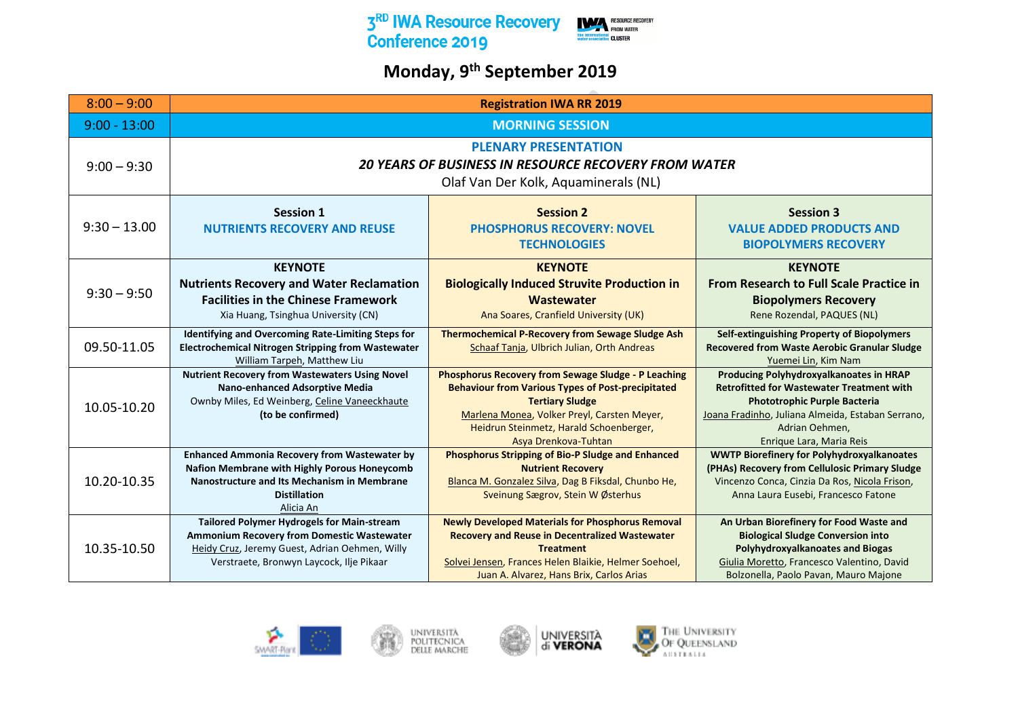

## **Monday, 9th September 2019**

| $8:00 - 9:00$  | <b>Registration IWA RR 2019</b>                                                                                                                                                                      |                                                                                                                                                                                                                                                                    |                                                                                                                                                                                                                                       |
|----------------|------------------------------------------------------------------------------------------------------------------------------------------------------------------------------------------------------|--------------------------------------------------------------------------------------------------------------------------------------------------------------------------------------------------------------------------------------------------------------------|---------------------------------------------------------------------------------------------------------------------------------------------------------------------------------------------------------------------------------------|
| $9:00 - 13:00$ | <b>MORNING SESSION</b>                                                                                                                                                                               |                                                                                                                                                                                                                                                                    |                                                                                                                                                                                                                                       |
| $9:00 - 9:30$  | <b>PLENARY PRESENTATION</b><br><b>20 YEARS OF BUSINESS IN RESOURCE RECOVERY FROM WATER</b><br>Olaf Van Der Kolk, Aquaminerals (NL)                                                                   |                                                                                                                                                                                                                                                                    |                                                                                                                                                                                                                                       |
| $9:30 - 13.00$ | <b>Session 1</b><br><b>NUTRIENTS RECOVERY AND REUSE</b>                                                                                                                                              | <b>Session 2</b><br><b>PHOSPHORUS RECOVERY: NOVEL</b><br><b>TECHNOLOGIES</b>                                                                                                                                                                                       | <b>Session 3</b><br><b>VALUE ADDED PRODUCTS AND</b><br><b>BIOPOLYMERS RECOVERY</b>                                                                                                                                                    |
| $9:30 - 9:50$  | <b>KEYNOTE</b><br><b>Nutrients Recovery and Water Reclamation</b><br><b>Facilities in the Chinese Framework</b><br>Xia Huang, Tsinghua University (CN)                                               | <b>KEYNOTE</b><br><b>Biologically Induced Struvite Production in</b><br><b>Wastewater</b><br>Ana Soares, Cranfield University (UK)                                                                                                                                 | <b>KEYNOTE</b><br>From Research to Full Scale Practice in<br><b>Biopolymers Recovery</b><br>Rene Rozendal, PAQUES (NL)                                                                                                                |
| 09.50-11.05    | Identifying and Overcoming Rate-Limiting Steps for<br><b>Electrochemical Nitrogen Stripping from Wastewater</b><br>William Tarpeh, Matthew Liu                                                       | <b>Thermochemical P-Recovery from Sewage Sludge Ash</b><br>Schaaf Tanja, Ulbrich Julian, Orth Andreas                                                                                                                                                              | <b>Self-extinguishing Property of Biopolymers</b><br><b>Recovered from Waste Aerobic Granular Sludge</b><br>Yuemei Lin, Kim Nam                                                                                                       |
| 10.05-10.20    | <b>Nutrient Recovery from Wastewaters Using Novel</b><br>Nano-enhanced Adsorptive Media<br>Ownby Miles, Ed Weinberg, Celine Vaneeckhaute<br>(to be confirmed)                                        | <b>Phosphorus Recovery from Sewage Sludge - P Leaching</b><br><b>Behaviour from Various Types of Post-precipitated</b><br><b>Tertiary Sludge</b><br>Marlena Monea, Volker Preyl, Carsten Meyer,<br>Heidrun Steinmetz, Harald Schoenberger,<br>Asya Drenkova-Tuhtan | Producing Polyhydroxyalkanoates in HRAP<br><b>Retrofitted for Wastewater Treatment with</b><br><b>Phototrophic Purple Bacteria</b><br>Joana Fradinho, Juliana Almeida, Estaban Serrano,<br>Adrian Oehmen,<br>Enrique Lara, Maria Reis |
| 10.20-10.35    | <b>Enhanced Ammonia Recovery from Wastewater by</b><br>Nafion Membrane with Highly Porous Honeycomb<br>Nanostructure and Its Mechanism in Membrane<br><b>Distillation</b><br>Alicia An               | Phosphorus Stripping of Bio-P Sludge and Enhanced<br><b>Nutrient Recovery</b><br>Blanca M. Gonzalez Silva, Dag B Fiksdal, Chunbo He,<br>Sveinung Sægrov, Stein W Østerhus                                                                                          | <b>WWTP Biorefinery for Polyhydroxyalkanoates</b><br>(PHAs) Recovery from Cellulosic Primary Sludge<br>Vincenzo Conca, Cinzia Da Ros, Nicola Frison,<br>Anna Laura Eusebi, Francesco Fatone                                           |
| 10.35-10.50    | <b>Tailored Polymer Hydrogels for Main-stream</b><br><b>Ammonium Recovery from Domestic Wastewater</b><br>Heidy Cruz, Jeremy Guest, Adrian Oehmen, Willy<br>Verstraete, Bronwyn Laycock, Ilje Pikaar | <b>Newly Developed Materials for Phosphorus Removal</b><br><b>Recovery and Reuse in Decentralized Wastewater</b><br><b>Treatment</b><br>Solvei Jensen, Frances Helen Blaikie, Helmer Soehoel,<br>Juan A. Alvarez, Hans Brix, Carlos Arias                          | An Urban Biorefinery for Food Waste and<br><b>Biological Sludge Conversion into</b><br><b>Polyhydroxyalkanoates and Biogas</b><br>Giulia Moretto, Francesco Valentino, David<br>Bolzonella, Paolo Pavan, Mauro Majone                 |







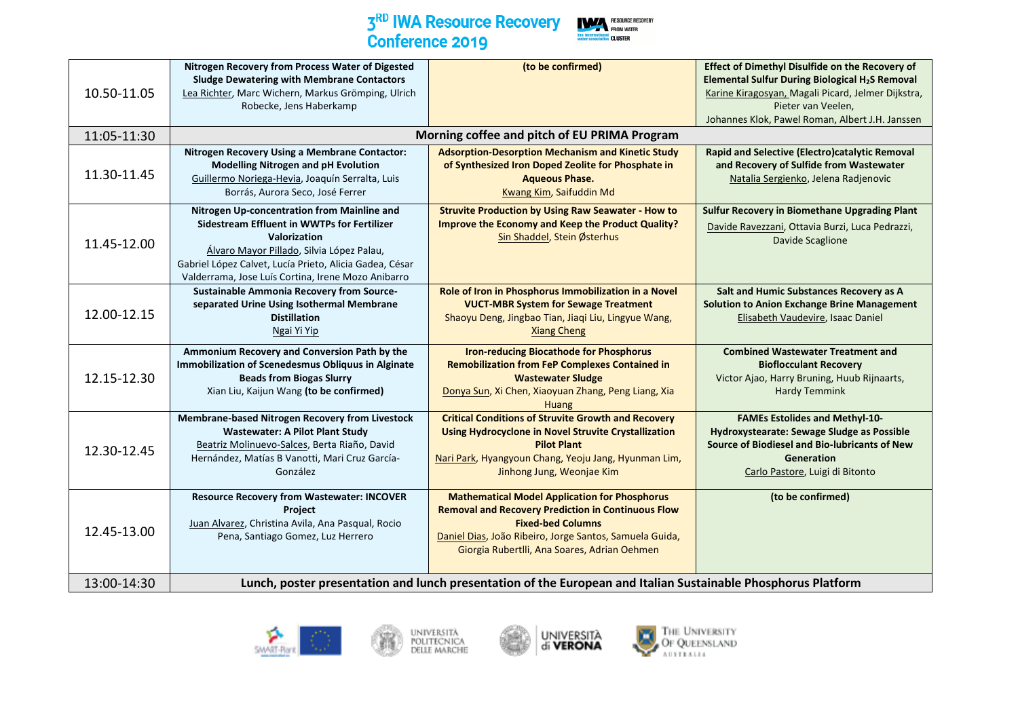

| 10.50-11.05 | Nitrogen Recovery from Process Water of Digested<br><b>Sludge Dewatering with Membrane Contactors</b><br>Lea Richter, Marc Wichern, Markus Grömping, Ulrich<br>Robecke, Jens Haberkamp                                                                                          | (to be confirmed)                                                                                                                                                                                                                                        | Effect of Dimethyl Disulfide on the Recovery of<br>Elemental Sulfur During Biological H <sub>2</sub> S Removal<br>Karine Kiragosyan, Magali Picard, Jelmer Dijkstra,<br>Pieter van Veelen,<br>Johannes Klok, Pawel Roman, Albert J.H. Janssen |
|-------------|---------------------------------------------------------------------------------------------------------------------------------------------------------------------------------------------------------------------------------------------------------------------------------|----------------------------------------------------------------------------------------------------------------------------------------------------------------------------------------------------------------------------------------------------------|-----------------------------------------------------------------------------------------------------------------------------------------------------------------------------------------------------------------------------------------------|
| 11:05-11:30 |                                                                                                                                                                                                                                                                                 | Morning coffee and pitch of EU PRIMA Program                                                                                                                                                                                                             |                                                                                                                                                                                                                                               |
| 11.30-11.45 | Nitrogen Recovery Using a Membrane Contactor:<br><b>Modelling Nitrogen and pH Evolution</b><br>Guillermo Noriega-Hevia, Joaquín Serralta, Luis<br>Borrás, Aurora Seco, José Ferrer                                                                                              | <b>Adsorption-Desorption Mechanism and Kinetic Study</b><br>of Synthesized Iron Doped Zeolite for Phosphate in<br><b>Aqueous Phase.</b><br>Kwang Kim, Saifuddin Md                                                                                       | Rapid and Selective (Electro)catalytic Removal<br>and Recovery of Sulfide from Wastewater<br>Natalia Sergienko, Jelena Radjenovic                                                                                                             |
| 11.45-12.00 | Nitrogen Up-concentration from Mainline and<br><b>Sidestream Effluent in WWTPs for Fertilizer</b><br>Valorization<br>Álvaro Mayor Pillado, Silvia López Palau,<br>Gabriel López Calvet, Lucía Prieto, Alicia Gadea, César<br>Valderrama, Jose Luís Cortina, Irene Mozo Anibarro | <b>Struvite Production by Using Raw Seawater - How to</b><br><b>Improve the Economy and Keep the Product Quality?</b><br>Sin Shaddel, Stein Østerhus                                                                                                     | <b>Sulfur Recovery in Biomethane Upgrading Plant</b><br>Davide Ravezzani, Ottavia Burzi, Luca Pedrazzi,<br><b>Davide Scaglione</b>                                                                                                            |
| 12.00-12.15 | <b>Sustainable Ammonia Recovery from Source-</b><br>separated Urine Using Isothermal Membrane<br><b>Distillation</b><br>Ngai Yi Yip                                                                                                                                             | Role of Iron in Phosphorus Immobilization in a Novel<br><b>VUCT-MBR System for Sewage Treatment</b><br>Shaoyu Deng, Jingbao Tian, Jiaqi Liu, Lingyue Wang,<br><b>Xiang Cheng</b>                                                                         | Salt and Humic Substances Recovery as A<br><b>Solution to Anion Exchange Brine Management</b><br>Elisabeth Vaudevire, Isaac Daniel                                                                                                            |
| 12.15-12.30 | Ammonium Recovery and Conversion Path by the<br>Immobilization of Scenedesmus Obliquus in Alginate<br><b>Beads from Biogas Slurry</b><br>Xian Liu, Kaijun Wang (to be confirmed)                                                                                                | <b>Iron-reducing Biocathode for Phosphorus</b><br><b>Remobilization from FeP Complexes Contained in</b><br><b>Wastewater Sludge</b><br>Donya Sun, Xi Chen, Xiaoyuan Zhang, Peng Liang, Xia<br><b>Huang</b>                                               | <b>Combined Wastewater Treatment and</b><br><b>Bioflocculant Recovery</b><br>Victor Ajao, Harry Bruning, Huub Rijnaarts,<br><b>Hardy Temmink</b>                                                                                              |
| 12.30-12.45 | <b>Membrane-based Nitrogen Recovery from Livestock</b><br><b>Wastewater: A Pilot Plant Study</b><br>Beatriz Molinuevo-Salces, Berta Riaño, David<br>Hernández, Matías B Vanotti, Mari Cruz García-<br>González                                                                  | <b>Critical Conditions of Struvite Growth and Recovery</b><br><b>Using Hydrocyclone in Novel Struvite Crystallization</b><br><b>Pilot Plant</b><br>Nari Park, Hyangyoun Chang, Yeoju Jang, Hyunman Lim,<br>Jinhong Jung, Weonjae Kim                     | <b>FAMEs Estolides and Methyl-10-</b><br>Hydroxystearate: Sewage Sludge as Possible<br>Source of Biodiesel and Bio-lubricants of New<br><b>Generation</b><br>Carlo Pastore, Luigi di Bitonto                                                  |
| 12.45-13.00 | <b>Resource Recovery from Wastewater: INCOVER</b><br><b>Project</b><br>Juan Alvarez, Christina Avila, Ana Pasqual, Rocio<br>Pena, Santiago Gomez, Luz Herrero                                                                                                                   | <b>Mathematical Model Application for Phosphorus</b><br><b>Removal and Recovery Prediction in Continuous Flow</b><br><b>Fixed-bed Columns</b><br>Daniel Dias, João Ribeiro, Jorge Santos, Samuela Guida,<br>Giorgia Rubertlli, Ana Soares, Adrian Oehmen | (to be confirmed)                                                                                                                                                                                                                             |
| 13:00-14:30 |                                                                                                                                                                                                                                                                                 | Lunch, poster presentation and lunch presentation of the European and Italian Sustainable Phosphorus Platform                                                                                                                                            |                                                                                                                                                                                                                                               |







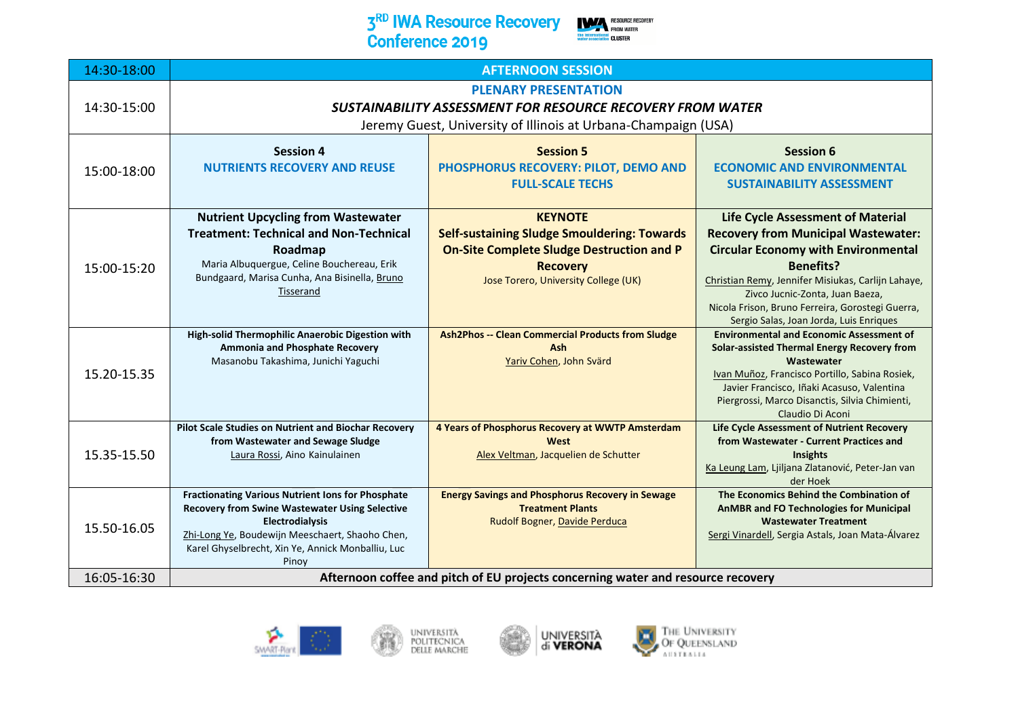#### 3<sup>RD</sup> IWA Resource Recovery **Conference 2019**







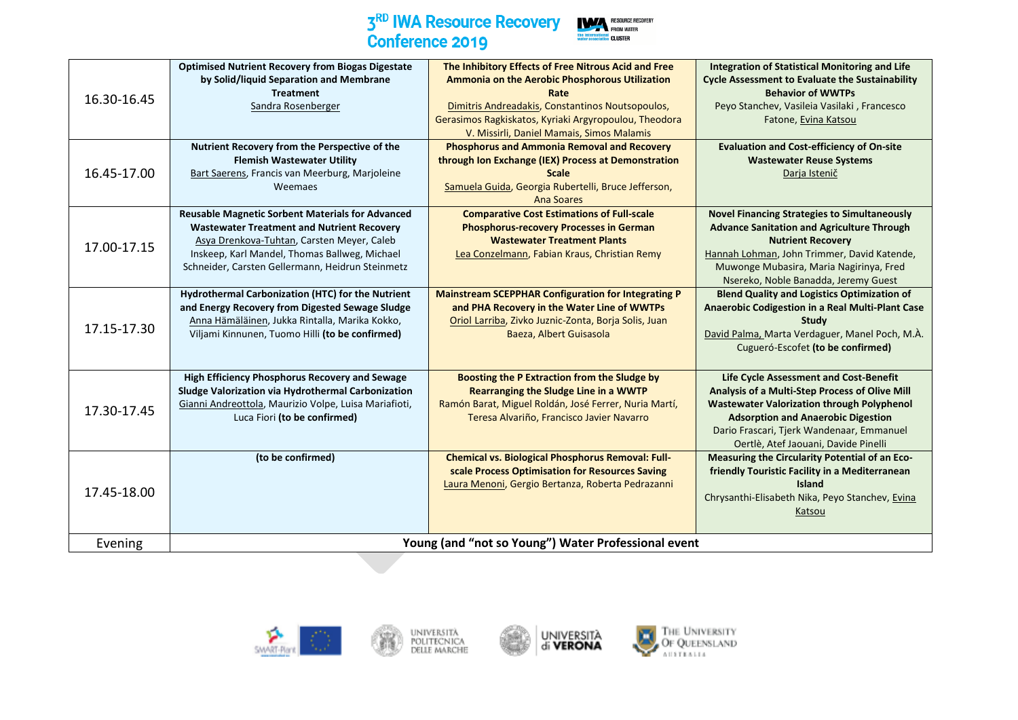

| the International CLUSTER | <b>RESOURCE RECOVER</b><br><b>FROM WATER</b> |
|---------------------------|----------------------------------------------|
|---------------------------|----------------------------------------------|

| 16.30-16.45 | <b>Optimised Nutrient Recovery from Biogas Digestate</b><br>by Solid/liquid Separation and Membrane<br><b>Treatment</b><br>Sandra Rosenberger                                                                                                                   | The Inhibitory Effects of Free Nitrous Acid and Free<br>Ammonia on the Aerobic Phosphorous Utilization<br>Rate<br>Dimitris Andreadakis, Constantinos Noutsopoulos,<br>Gerasimos Ragkiskatos, Kyriaki Argyropoulou, Theodora<br>V. Missirli, Daniel Mamais, Simos Malamis | <b>Integration of Statistical Monitoring and Life</b><br><b>Cycle Assessment to Evaluate the Sustainability</b><br><b>Behavior of WWTPs</b><br>Peyo Stanchev, Vasileia Vasilaki, Francesco<br>Fatone, Evina Katsou                                                              |
|-------------|-----------------------------------------------------------------------------------------------------------------------------------------------------------------------------------------------------------------------------------------------------------------|--------------------------------------------------------------------------------------------------------------------------------------------------------------------------------------------------------------------------------------------------------------------------|---------------------------------------------------------------------------------------------------------------------------------------------------------------------------------------------------------------------------------------------------------------------------------|
| 16.45-17.00 | Nutrient Recovery from the Perspective of the<br><b>Flemish Wastewater Utility</b><br>Bart Saerens, Francis van Meerburg, Marjoleine<br>Weemaes                                                                                                                 | <b>Phosphorus and Ammonia Removal and Recovery</b><br>through Ion Exchange (IEX) Process at Demonstration<br><b>Scale</b><br>Samuela Guida, Georgia Rubertelli, Bruce Jefferson,<br><b>Ana Soares</b>                                                                    | <b>Evaluation and Cost-efficiency of On-site</b><br><b>Wastewater Reuse Systems</b><br>Darja Istenič                                                                                                                                                                            |
| 17.00-17.15 | <b>Reusable Magnetic Sorbent Materials for Advanced</b><br><b>Wastewater Treatment and Nutrient Recovery</b><br>Asya Drenkova-Tuhtan, Carsten Meyer, Caleb<br>Inskeep, Karl Mandel, Thomas Ballweg, Michael<br>Schneider, Carsten Gellermann, Heidrun Steinmetz | <b>Comparative Cost Estimations of Full-scale</b><br><b>Phosphorus-recovery Processes in German</b><br><b>Wastewater Treatment Plants</b><br>Lea Conzelmann, Fabian Kraus, Christian Remy                                                                                | <b>Novel Financing Strategies to Simultaneously</b><br><b>Advance Sanitation and Agriculture Through</b><br><b>Nutrient Recovery</b><br>Hannah Lohman, John Trimmer, David Katende,<br>Muwonge Mubasira, Maria Nagirinya, Fred<br>Nsereko, Noble Banadda, Jeremy Guest          |
| 17.15-17.30 | Hydrothermal Carbonization (HTC) for the Nutrient<br>and Energy Recovery from Digested Sewage Sludge<br>Anna Hämäläinen, Jukka Rintalla, Marika Kokko,<br>Viljami Kinnunen, Tuomo Hilli (to be confirmed)                                                       | <b>Mainstream SCEPPHAR Configuration for Integrating P</b><br>and PHA Recovery in the Water Line of WWTPs<br>Oriol Larriba, Zivko Juznic-Zonta, Borja Solis, Juan<br>Baeza, Albert Guisasola                                                                             | <b>Blend Quality and Logistics Optimization of</b><br>Anaerobic Codigestion in a Real Multi-Plant Case<br><b>Study</b><br>David Palma, Marta Verdaguer, Manel Poch, M.A.<br>Cugueró-Escofet (to be confirmed)                                                                   |
| 17.30-17.45 | High Efficiency Phosphorus Recovery and Sewage<br>Sludge Valorization via Hydrothermal Carbonization<br>Gianni Andreottola, Maurizio Volpe, Luisa Mariafioti,<br>Luca Fiori (to be confirmed)                                                                   | Boosting the P Extraction from the Sludge by<br>Rearranging the Sludge Line in a WWTP<br>Ramón Barat, Miguel Roldán, José Ferrer, Nuria Martí,<br>Teresa Alvariño, Francisco Javier Navarro                                                                              | Life Cycle Assessment and Cost-Benefit<br>Analysis of a Multi-Step Process of Olive Mill<br><b>Wastewater Valorization through Polyphenol</b><br><b>Adsorption and Anaerobic Digestion</b><br>Dario Frascari, Tjerk Wandenaar, Emmanuel<br>Oertlè, Atef Jaouani, Davide Pinelli |
| 17.45-18.00 | (to be confirmed)                                                                                                                                                                                                                                               | <b>Chemical vs. Biological Phosphorus Removal: Full-</b><br>scale Process Optimisation for Resources Saving<br>Laura Menoni, Gergio Bertanza, Roberta Pedrazanni                                                                                                         | Measuring the Circularity Potential of an Eco-<br>friendly Touristic Facility in a Mediterranean<br><b>Island</b><br>Chrysanthi-Elisabeth Nika, Peyo Stanchev, Evina<br>Katsou                                                                                                  |
| Evening     |                                                                                                                                                                                                                                                                 | Young (and "not so Young") Water Professional event                                                                                                                                                                                                                      |                                                                                                                                                                                                                                                                                 |

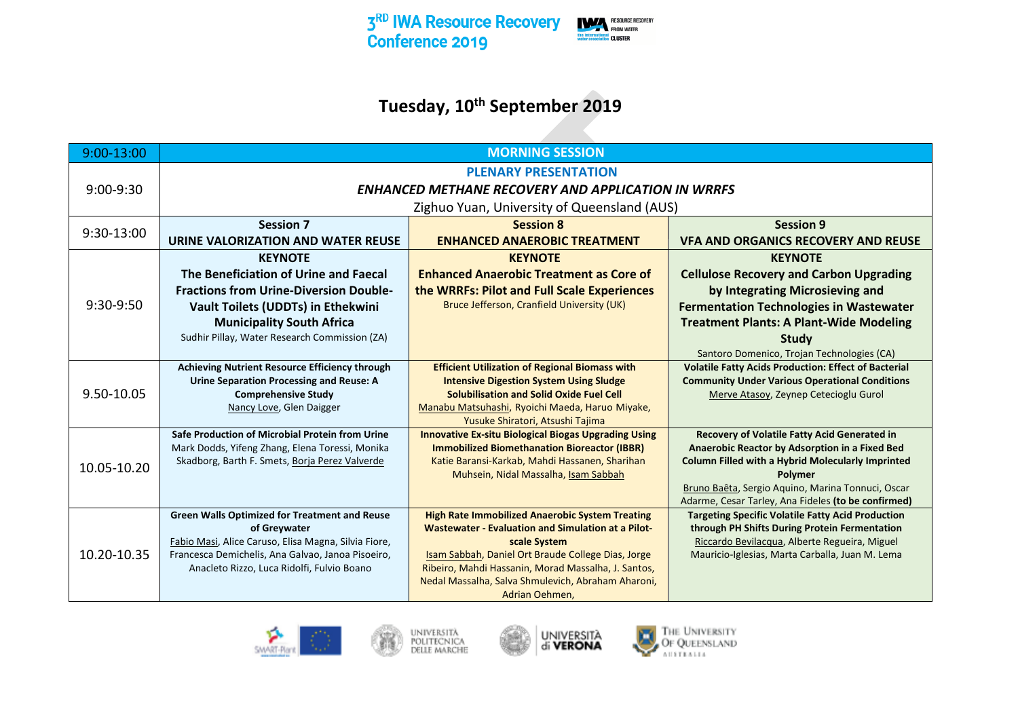

## **Tuesday, 10th September 2019**

| 9:00-13:00    | <b>MORNING SESSION</b>                                                                            |                                                                                                                     |                                                                                                            |
|---------------|---------------------------------------------------------------------------------------------------|---------------------------------------------------------------------------------------------------------------------|------------------------------------------------------------------------------------------------------------|
|               |                                                                                                   | <b>PLENARY PRESENTATION</b>                                                                                         |                                                                                                            |
| $9:00 - 9:30$ |                                                                                                   | <b>ENHANCED METHANE RECOVERY AND APPLICATION IN WRRFS</b>                                                           |                                                                                                            |
|               |                                                                                                   | Zighuo Yuan, University of Queensland (AUS)                                                                         |                                                                                                            |
|               | <b>Session 7</b>                                                                                  | <b>Session 8</b>                                                                                                    | <b>Session 9</b>                                                                                           |
| 9:30-13:00    | URINE VALORIZATION AND WATER REUSE                                                                | <b>ENHANCED ANAEROBIC TREATMENT</b>                                                                                 | <b>VFA AND ORGANICS RECOVERY AND REUSE</b>                                                                 |
|               | <b>KEYNOTE</b>                                                                                    | <b>KEYNOTE</b>                                                                                                      | <b>KEYNOTE</b>                                                                                             |
|               | The Beneficiation of Urine and Faecal                                                             | <b>Enhanced Anaerobic Treatment as Core of</b>                                                                      | <b>Cellulose Recovery and Carbon Upgrading</b>                                                             |
|               | <b>Fractions from Urine-Diversion Double-</b>                                                     | the WRRFs: Pilot and Full Scale Experiences                                                                         | by Integrating Microsieving and                                                                            |
| 9:30-9:50     | <b>Vault Toilets (UDDTs) in Ethekwini</b>                                                         | Bruce Jefferson, Cranfield University (UK)                                                                          | <b>Fermentation Technologies in Wastewater</b>                                                             |
|               | <b>Municipality South Africa</b>                                                                  |                                                                                                                     | <b>Treatment Plants: A Plant-Wide Modeling</b>                                                             |
|               | Sudhir Pillay, Water Research Commission (ZA)                                                     |                                                                                                                     | Study                                                                                                      |
|               |                                                                                                   |                                                                                                                     | Santoro Domenico, Trojan Technologies (CA)                                                                 |
|               | Achieving Nutrient Resource Efficiency through                                                    | <b>Efficient Utilization of Regional Biomass with</b>                                                               | <b>Volatile Fatty Acids Production: Effect of Bacterial</b>                                                |
| 9.50-10.05    | <b>Urine Separation Processing and Reuse: A</b><br><b>Comprehensive Study</b>                     | <b>Intensive Digestion System Using Sludge</b><br><b>Solubilisation and Solid Oxide Fuel Cell</b>                   | <b>Community Under Various Operational Conditions</b><br>Merve Atasoy, Zeynep Cetecioglu Gurol             |
|               | Nancy Love, Glen Daigger                                                                          | Manabu Matsuhashi, Ryoichi Maeda, Haruo Miyake,                                                                     |                                                                                                            |
|               |                                                                                                   | Yusuke Shiratori, Atsushi Tajima                                                                                    |                                                                                                            |
|               | Safe Production of Microbial Protein from Urine                                                   | <b>Innovative Ex-situ Biological Biogas Upgrading Using</b>                                                         | <b>Recovery of Volatile Fatty Acid Generated in</b>                                                        |
|               | Mark Dodds, Yifeng Zhang, Elena Toressi, Monika<br>Skadborg, Barth F. Smets, Borja Perez Valverde | <b>Immobilized Biomethanation Bioreactor (IBBR)</b><br>Katie Baransi-Karkab, Mahdi Hassanen, Sharihan               | Anaerobic Reactor by Adsorption in a Fixed Bed<br><b>Column Filled with a Hybrid Molecularly Imprinted</b> |
| 10.05-10.20   |                                                                                                   | Muhsein, Nidal Massalha, Isam Sabbah                                                                                | <b>Polymer</b>                                                                                             |
|               |                                                                                                   |                                                                                                                     | Bruno Baêta, Sergio Aquino, Marina Tonnuci, Oscar                                                          |
|               |                                                                                                   |                                                                                                                     | Adarme, Cesar Tarley, Ana Fideles (to be confirmed)                                                        |
|               | <b>Green Walls Optimized for Treatment and Reuse</b><br>of Greywater                              | <b>High Rate Immobilized Anaerobic System Treating</b><br><b>Wastewater - Evaluation and Simulation at a Pilot-</b> | <b>Targeting Specific Volatile Fatty Acid Production</b><br>through PH Shifts During Protein Fermentation  |
|               | Fabio Masi, Alice Caruso, Elisa Magna, Silvia Fiore,                                              | scale System                                                                                                        | Riccardo Bevilacqua, Alberte Regueira, Miguel                                                              |
| 10.20-10.35   | Francesca Demichelis, Ana Galvao, Janoa Pisoeiro,                                                 | Isam Sabbah, Daniel Ort Braude College Dias, Jorge                                                                  | Mauricio-Iglesias, Marta Carballa, Juan M. Lema                                                            |
|               | Anacleto Rizzo, Luca Ridolfi, Fulvio Boano                                                        | Ribeiro, Mahdi Hassanin, Morad Massalha, J. Santos,                                                                 |                                                                                                            |
|               |                                                                                                   | Nedal Massalha, Salva Shmulevich, Abraham Aharoni,                                                                  |                                                                                                            |
|               |                                                                                                   | Adrian Oehmen.                                                                                                      |                                                                                                            |







THE UNIVERSITY<br>Of Queensland<br>Australia E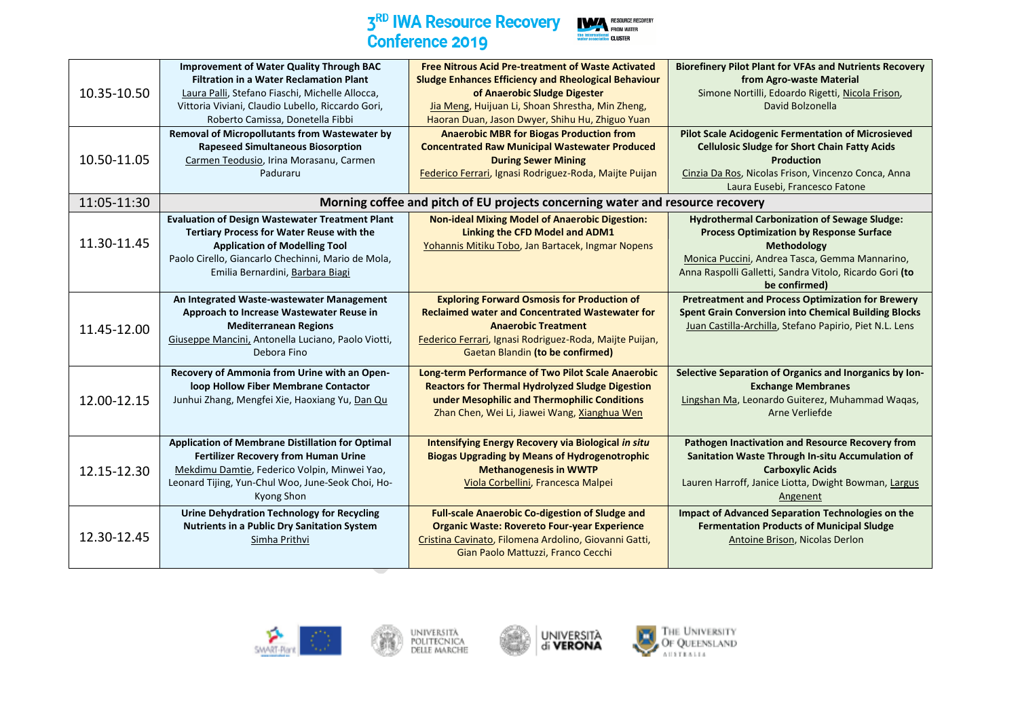

| 10.35-10.50 | <b>Improvement of Water Quality Through BAC</b><br><b>Filtration in a Water Reclamation Plant</b><br>Laura Palli, Stefano Fiaschi, Michelle Allocca,<br>Vittoria Viviani, Claudio Lubello, Riccardo Gori,<br>Roberto Camissa, Donetella Fibbi | <b>Free Nitrous Acid Pre-treatment of Waste Activated</b><br><b>Sludge Enhances Efficiency and Rheological Behaviour</b><br>of Anaerobic Sludge Digester<br>Jia Meng, Huijuan Li, Shoan Shrestha, Min Zheng,<br>Haoran Duan, Jason Dwyer, Shihu Hu, Zhiguo Yuan | <b>Biorefinery Pilot Plant for VFAs and Nutrients Recovery</b><br>from Agro-waste Material<br>Simone Nortilli, Edoardo Rigetti, Nicola Frison,<br>David Bolzonella                                                                                         |
|-------------|-----------------------------------------------------------------------------------------------------------------------------------------------------------------------------------------------------------------------------------------------|-----------------------------------------------------------------------------------------------------------------------------------------------------------------------------------------------------------------------------------------------------------------|------------------------------------------------------------------------------------------------------------------------------------------------------------------------------------------------------------------------------------------------------------|
| 10.50-11.05 | <b>Removal of Micropollutants from Wastewater by</b><br><b>Rapeseed Simultaneous Biosorption</b><br>Carmen Teodusio, Irina Morasanu, Carmen<br>Paduraru                                                                                       | <b>Anaerobic MBR for Biogas Production from</b><br><b>Concentrated Raw Municipal Wastewater Produced</b><br><b>During Sewer Mining</b><br>Federico Ferrari, Ignasi Rodriguez-Roda, Maijte Puijan                                                                | <b>Pilot Scale Acidogenic Fermentation of Microsieved</b><br><b>Cellulosic Sludge for Short Chain Fatty Acids</b><br><b>Production</b><br>Cinzia Da Ros, Nicolas Frison, Vincenzo Conca, Anna<br>Laura Eusebi, Francesco Fatone                            |
| 11:05-11:30 |                                                                                                                                                                                                                                               | Morning coffee and pitch of EU projects concerning water and resource recovery                                                                                                                                                                                  |                                                                                                                                                                                                                                                            |
| 11.30-11.45 | <b>Evaluation of Design Wastewater Treatment Plant</b><br><b>Tertiary Process for Water Reuse with the</b><br><b>Application of Modelling Tool</b><br>Paolo Cirello, Giancarlo Chechinni, Mario de Mola,<br>Emilia Bernardini, Barbara Biagi  | <b>Non-ideal Mixing Model of Anaerobic Digestion:</b><br>Linking the CFD Model and ADM1<br>Yohannis Mitiku Tobo, Jan Bartacek, Ingmar Nopens                                                                                                                    | <b>Hydrothermal Carbonization of Sewage Sludge:</b><br><b>Process Optimization by Response Surface</b><br><b>Methodology</b><br>Monica Puccini, Andrea Tasca, Gemma Mannarino,<br>Anna Raspolli Galletti, Sandra Vitolo, Ricardo Gori (to<br>be confirmed) |
| 11.45-12.00 | An Integrated Waste-wastewater Management<br>Approach to Increase Wastewater Reuse in<br><b>Mediterranean Regions</b><br>Giuseppe Mancini, Antonella Luciano, Paolo Viotti,<br>Debora Fino                                                    | <b>Exploring Forward Osmosis for Production of</b><br><b>Reclaimed water and Concentrated Wastewater for</b><br><b>Anaerobic Treatment</b><br>Federico Ferrari, Ignasi Rodriguez-Roda, Maijte Puijan,<br>Gaetan Blandin (to be confirmed)                       | <b>Pretreatment and Process Optimization for Brewery</b><br><b>Spent Grain Conversion into Chemical Building Blocks</b><br>Juan Castilla-Archilla, Stefano Papirio, Piet N.L. Lens                                                                         |
| 12.00-12.15 | Recovery of Ammonia from Urine with an Open-<br>loop Hollow Fiber Membrane Contactor<br>Junhui Zhang, Mengfei Xie, Haoxiang Yu, Dan Qu                                                                                                        | <b>Long-term Performance of Two Pilot Scale Anaerobic</b><br><b>Reactors for Thermal Hydrolyzed Sludge Digestion</b><br>under Mesophilic and Thermophilic Conditions<br>Zhan Chen, Wei Li, Jiawei Wang, Xianghua Wen                                            | Selective Separation of Organics and Inorganics by Ion-<br><b>Exchange Membranes</b><br>Lingshan Ma, Leonardo Guiterez, Muhammad Waqas,<br>Arne Verliefde                                                                                                  |
| 12.15-12.30 | Application of Membrane Distillation for Optimal<br>Fertilizer Recovery from Human Urine<br>Mekdimu Damtie, Federico Volpin, Minwei Yao,<br>Leonard Tijing, Yun-Chul Woo, June-Seok Choi, Ho-<br>Kyong Shon                                   | Intensifying Energy Recovery via Biological in situ<br><b>Biogas Upgrading by Means of Hydrogenotrophic</b><br><b>Methanogenesis in WWTP</b><br>Viola Corbellini, Francesca Malpei                                                                              | <b>Pathogen Inactivation and Resource Recovery from</b><br>Sanitation Waste Through In-situ Accumulation of<br><b>Carboxylic Acids</b><br>Lauren Harroff, Janice Liotta, Dwight Bowman, Largus<br>Angenent                                                 |
| 12.30-12.45 | <b>Urine Dehydration Technology for Recycling</b><br><b>Nutrients in a Public Dry Sanitation System</b><br>Simha Prithvi                                                                                                                      | <b>Full-scale Anaerobic Co-digestion of Sludge and</b><br><b>Organic Waste: Rovereto Four-year Experience</b><br>Cristina Cavinato, Filomena Ardolino, Giovanni Gatti,<br>Gian Paolo Mattuzzi, Franco Cecchi                                                    | <b>Impact of Advanced Separation Technologies on the</b><br><b>Fermentation Products of Municipal Sludge</b><br>Antoine Brison, Nicolas Derlon                                                                                                             |







THE UNIVERSITY<br>Of QUEENSLAND<br>AUSTRALIA g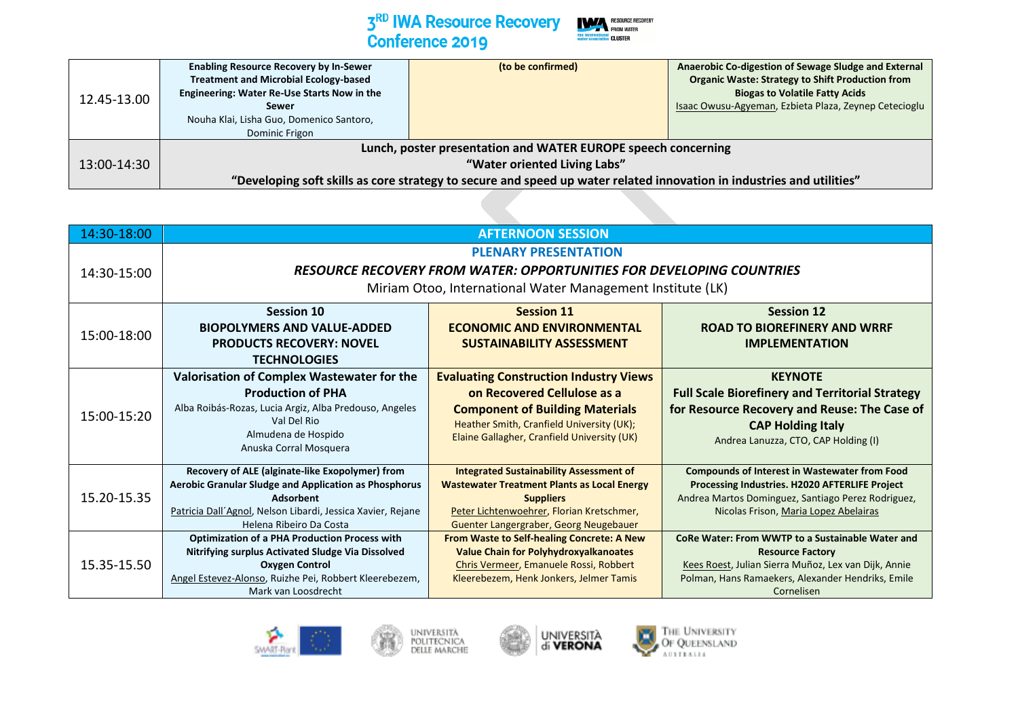

| 12.45-13.00 | <b>Enabling Resource Recovery by In-Sewer</b><br><b>Treatment and Microbial Ecology-based</b><br>Engineering: Water Re-Use Starts Now in the<br>Sewer<br>Nouha Klai, Lisha Guo, Domenico Santoro,<br>Dominic Frigon | (to be confirmed)                                                                                                                                                                                                      | Anaerobic Co-digestion of Sewage Sludge and External<br><b>Organic Waste: Strategy to Shift Production from</b><br><b>Biogas to Volatile Fatty Acids</b><br>Isaac Owusu-Agyeman, Ezbieta Plaza, Zeynep Cetecioglu |
|-------------|---------------------------------------------------------------------------------------------------------------------------------------------------------------------------------------------------------------------|------------------------------------------------------------------------------------------------------------------------------------------------------------------------------------------------------------------------|-------------------------------------------------------------------------------------------------------------------------------------------------------------------------------------------------------------------|
| 13:00-14:30 |                                                                                                                                                                                                                     | Lunch, poster presentation and WATER EUROPE speech concerning<br>"Water oriented Living Labs"<br>"Developing soft skills as core strategy to secure and speed up water related innovation in industries and utilities" |                                                                                                                                                                                                                   |

| 14:30-18:00 | <b>AFTERNOON SESSION</b>                                                                                                                                                                                            |                                                                                                                                                                                                                    |                                                                                                                                                                                                               |
|-------------|---------------------------------------------------------------------------------------------------------------------------------------------------------------------------------------------------------------------|--------------------------------------------------------------------------------------------------------------------------------------------------------------------------------------------------------------------|---------------------------------------------------------------------------------------------------------------------------------------------------------------------------------------------------------------|
| 14:30-15:00 | <b>PLENARY PRESENTATION</b><br><b>RESOURCE RECOVERY FROM WATER: OPPORTUNITIES FOR DEVELOPING COUNTRIES</b><br>Miriam Otoo, International Water Management Institute (LK)                                            |                                                                                                                                                                                                                    |                                                                                                                                                                                                               |
| 15:00-18:00 | <b>Session 10</b><br><b>BIOPOLYMERS AND VALUE-ADDED</b><br><b>PRODUCTS RECOVERY: NOVEL</b><br><b>TECHNOLOGIES</b>                                                                                                   | <b>Session 11</b><br><b>ECONOMIC AND ENVIRONMENTAL</b><br><b>SUSTAINABILITY ASSESSMENT</b>                                                                                                                         | <b>Session 12</b><br><b>ROAD TO BIOREFINERY AND WRRF</b><br><b>IMPLEMENTATION</b>                                                                                                                             |
| 15:00-15:20 | Valorisation of Complex Wastewater for the<br><b>Production of PHA</b><br>Alba Roibás-Rozas, Lucia Argiz, Alba Predouso, Angeles<br>Val Del Rio<br>Almudena de Hospido<br>Anuska Corral Mosquera                    | <b>Evaluating Construction Industry Views</b><br>on Recovered Cellulose as a<br><b>Component of Building Materials</b><br>Heather Smith, Cranfield University (UK);<br>Elaine Gallagher, Cranfield University (UK) | <b>KEYNOTE</b><br><b>Full Scale Biorefinery and Territorial Strategy</b><br>for Resource Recovery and Reuse: The Case of<br><b>CAP Holding Italy</b><br>Andrea Lanuzza, CTO, CAP Holding (I)                  |
| 15.20-15.35 | Recovery of ALE (alginate-like Exopolymer) from<br>Aerobic Granular Sludge and Application as Phosphorus<br>Adsorbent<br>Patricia Dall'Agnol, Nelson Libardi, Jessica Xavier, Rejane<br>Helena Ribeiro Da Costa     | <b>Integrated Sustainability Assessment of</b><br><b>Wastewater Treatment Plants as Local Energy</b><br><b>Suppliers</b><br>Peter Lichtenwoehrer, Florian Kretschmer,<br>Guenter Langergraber, Georg Neugebauer    | <b>Compounds of Interest in Wastewater from Food</b><br>Processing Industries. H2020 AFTERLIFE Project<br>Andrea Martos Dominguez, Santiago Perez Rodriguez,<br>Nicolas Frison, Maria Lopez Abelairas         |
| 15.35-15.50 | <b>Optimization of a PHA Production Process with</b><br>Nitrifying surplus Activated Sludge Via Dissolved<br><b>Oxygen Control</b><br>Angel Estevez-Alonso, Ruizhe Pei, Robbert Kleerebezem,<br>Mark van Loosdrecht | <b>From Waste to Self-healing Concrete: A New</b><br><b>Value Chain for Polyhydroxyalkanoates</b><br>Chris Vermeer, Emanuele Rossi, Robbert<br>Kleerebezem, Henk Jonkers, Jelmer Tamis                             | <b>CoRe Water: From WWTP to a Sustainable Water and</b><br><b>Resource Factory</b><br>Kees Roest, Julian Sierra Muñoz, Lex van Dijk, Annie<br>Polman, Hans Ramaekers, Alexander Hendriks, Emile<br>Cornelisen |







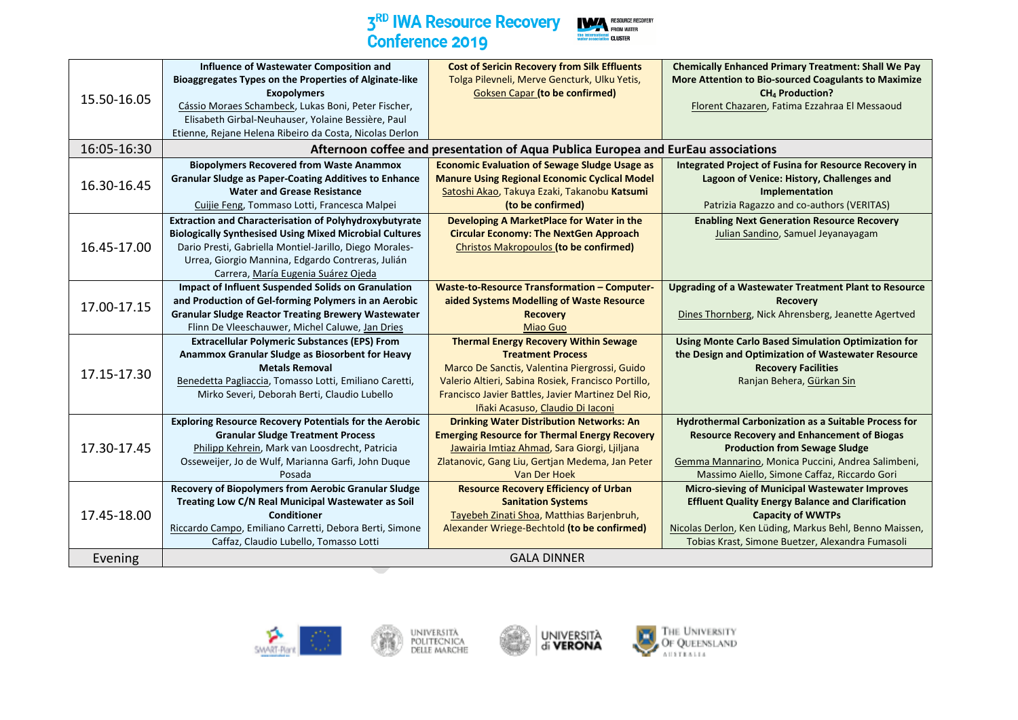

|             | Influence of Wastewater Composition and                        | <b>Cost of Sericin Recovery from Silk Effluents</b>                               | <b>Chemically Enhanced Primary Treatment: Shall We Pay</b>   |
|-------------|----------------------------------------------------------------|-----------------------------------------------------------------------------------|--------------------------------------------------------------|
|             | Bioaggregates Types on the Properties of Alginate-like         | Tolga Pilevneli, Merve Gencturk, Ulku Yetis,                                      | More Attention to Bio-sourced Coagulants to Maximize         |
| 15.50-16.05 | <b>Exopolymers</b>                                             | <b>Goksen Capar (to be confirmed)</b>                                             | <b>CH<sub>4</sub></b> Production?                            |
|             | Cássio Moraes Schambeck, Lukas Boni, Peter Fischer,            |                                                                                   | Florent Chazaren, Fatima Ezzahraa El Messaoud                |
|             | Elisabeth Girbal-Neuhauser, Yolaine Bessière, Paul             |                                                                                   |                                                              |
|             | Etienne, Rejane Helena Ribeiro da Costa, Nicolas Derlon        |                                                                                   |                                                              |
| 16:05-16:30 |                                                                | Afternoon coffee and presentation of Aqua Publica Europea and EurEau associations |                                                              |
|             | <b>Biopolymers Recovered from Waste Anammox</b>                | <b>Economic Evaluation of Sewage Sludge Usage as</b>                              | <b>Integrated Project of Fusina for Resource Recovery in</b> |
|             | <b>Granular Sludge as Paper-Coating Additives to Enhance</b>   | <b>Manure Using Regional Economic Cyclical Model</b>                              | Lagoon of Venice: History, Challenges and                    |
| 16.30-16.45 | <b>Water and Grease Resistance</b>                             | Satoshi Akao, Takuya Ezaki, Takanobu Katsumi                                      | Implementation                                               |
|             | Cuijie Feng, Tommaso Lotti, Francesca Malpei                   | (to be confirmed)                                                                 | Patrizia Ragazzo and co-authors (VERITAS)                    |
|             | <b>Extraction and Characterisation of Polyhydroxybutyrate</b>  | Developing A MarketPlace for Water in the                                         | <b>Enabling Next Generation Resource Recovery</b>            |
|             | <b>Biologically Synthesised Using Mixed Microbial Cultures</b> | <b>Circular Economy: The NextGen Approach</b>                                     | Julian Sandino, Samuel Jeyanayagam                           |
| 16.45-17.00 | Dario Presti, Gabriella Montiel-Jarillo, Diego Morales-        | Christos Makropoulos (to be confirmed)                                            |                                                              |
|             | Urrea, Giorgio Mannina, Edgardo Contreras, Julián              |                                                                                   |                                                              |
|             | Carrera, María Eugenia Suárez Ojeda                            |                                                                                   |                                                              |
|             | <b>Impact of Influent Suspended Solids on Granulation</b>      | <b>Waste-to-Resource Transformation - Computer-</b>                               | <b>Upgrading of a Wastewater Treatment Plant to Resource</b> |
| 17.00-17.15 | and Production of Gel-forming Polymers in an Aerobic           | aided Systems Modelling of Waste Resource                                         | <b>Recovery</b>                                              |
|             | <b>Granular Sludge Reactor Treating Brewery Wastewater</b>     | <b>Recovery</b>                                                                   | Dines Thornberg, Nick Ahrensberg, Jeanette Agertved          |
|             | Flinn De Vleeschauwer, Michel Caluwe, Jan Dries                | <b>Miao Guo</b>                                                                   |                                                              |
|             | <b>Extracellular Polymeric Substances (EPS) From</b>           | <b>Thermal Energy Recovery Within Sewage</b>                                      | <b>Using Monte Carlo Based Simulation Optimization for</b>   |
|             | Anammox Granular Sludge as Biosorbent for Heavy                | <b>Treatment Process</b>                                                          | the Design and Optimization of Wastewater Resource           |
| 17.15-17.30 | <b>Metals Removal</b>                                          | Marco De Sanctis, Valentina Piergrossi, Guido                                     | <b>Recovery Facilities</b>                                   |
|             | Benedetta Pagliaccia, Tomasso Lotti, Emiliano Caretti,         | Valerio Altieri, Sabina Rosiek, Francisco Portillo,                               | Ranjan Behera, Gürkan Sin                                    |
|             | Mirko Severi, Deborah Berti, Claudio Lubello                   | Francisco Javier Battles, Javier Martinez Del Rio,                                |                                                              |
|             |                                                                | Iñaki Acasuso, Claudio Di Iaconi                                                  |                                                              |
|             | <b>Exploring Resource Recovery Potentials for the Aerobic</b>  | <b>Drinking Water Distribution Networks: An</b>                                   | <b>Hydrothermal Carbonization as a Suitable Process for</b>  |
|             | <b>Granular Sludge Treatment Process</b>                       | <b>Emerging Resource for Thermal Energy Recovery</b>                              | <b>Resource Recovery and Enhancement of Biogas</b>           |
| 17.30-17.45 | Philipp Kehrein, Mark van Loosdrecht, Patricia                 | Jawairia Imtiaz Ahmad, Sara Giorgi, Ljiljana                                      | <b>Production from Sewage Sludge</b>                         |
|             | Osseweijer, Jo de Wulf, Marianna Garfi, John Duque             | Zlatanovic, Gang Liu, Gertjan Medema, Jan Peter                                   | Gemma Mannarino, Monica Puccini, Andrea Salimbeni,           |
|             | Posada                                                         | Van Der Hoek                                                                      | Massimo Aiello, Simone Caffaz, Riccardo Gori                 |
|             | Recovery of Biopolymers from Aerobic Granular Sludge           | <b>Resource Recovery Efficiency of Urban</b>                                      | <b>Micro-sieving of Municipal Wastewater Improves</b>        |
|             | Treating Low C/N Real Municipal Wastewater as Soil             | <b>Sanitation Systems</b>                                                         | <b>Effluent Quality Energy Balance and Clarification</b>     |
| 17.45-18.00 | <b>Conditioner</b>                                             | Tayebeh Zinati Shoa, Matthias Barjenbruh,                                         | <b>Capacity of WWTPs</b>                                     |
|             | Riccardo Campo, Emiliano Carretti, Debora Berti, Simone        | Alexander Wriege-Bechtold (to be confirmed)                                       | Nicolas Derlon, Ken Lüding, Markus Behl, Benno Maissen,      |
|             | Caffaz, Claudio Lubello, Tomasso Lotti                         |                                                                                   | Tobias Krast, Simone Buetzer, Alexandra Fumasoli             |
| Evening     |                                                                | <b>GALA DINNER</b>                                                                |                                                              |





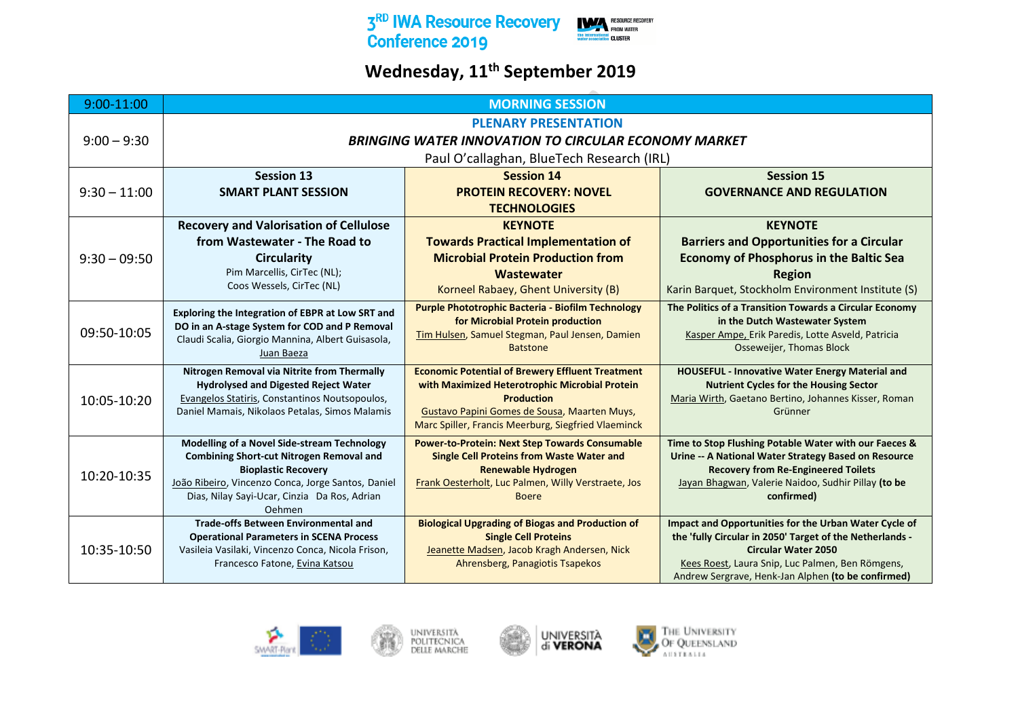

## **Wednesday, 11th September 2019**

| <b>PLENARY PRESENTATION</b><br>$9:00 - 9:30$<br><b>BRINGING WATER INNOVATION TO CIRCULAR ECONOMY MARKET</b><br>Paul O'callaghan, BlueTech Research (IRL)<br><b>Session 13</b><br><b>Session 15</b><br><b>Session 14</b><br>$9:30 - 11:00$<br><b>PROTEIN RECOVERY: NOVEL</b><br><b>SMART PLANT SESSION</b><br><b>GOVERNANCE AND REGULATION</b><br><b>TECHNOLOGIES</b><br><b>Recovery and Valorisation of Cellulose</b><br><b>KEYNOTE</b><br><b>KEYNOTE</b><br>from Wastewater - The Road to<br><b>Towards Practical Implementation of</b><br><b>Barriers and Opportunities for a Circular</b><br><b>Microbial Protein Production from</b><br><b>Economy of Phosphorus in the Baltic Sea</b><br><b>Circularity</b><br>$9:30 - 09:50$<br>Pim Marcellis, CirTec (NL);<br>Wastewater<br><b>Region</b><br>Coos Wessels, CirTec (NL)<br>Korneel Rabaey, Ghent University (B)<br>Karin Barquet, Stockholm Environment Institute (S)<br>Purple Phototrophic Bacteria - Biofilm Technology<br>The Politics of a Transition Towards a Circular Economy<br>Exploring the Integration of EBPR at Low SRT and<br>for Microbial Protein production<br>in the Dutch Wastewater System<br>DO in an A-stage System for COD and P Removal<br>09:50-10:05<br>Tim Hulsen, Samuel Stegman, Paul Jensen, Damien<br>Kasper Ampe, Erik Paredis, Lotte Asveld, Patricia<br>Claudi Scalia, Giorgio Mannina, Albert Guisasola,<br>Osseweijer, Thomas Block<br><b>Batstone</b><br>Juan Baeza<br>Nitrogen Removal via Nitrite from Thermally<br><b>Economic Potential of Brewery Effluent Treatment</b><br>HOUSEFUL - Innovative Water Energy Material and<br><b>Hydrolysed and Digested Reject Water</b><br>with Maximized Heterotrophic Microbial Protein<br><b>Nutrient Cycles for the Housing Sector</b><br>Evangelos Statiris, Constantinos Noutsopoulos,<br>Maria Wirth, Gaetano Bertino, Johannes Kisser, Roman<br><b>Production</b><br>10:05-10:20<br>Daniel Mamais, Nikolaos Petalas, Simos Malamis<br>Gustavo Papini Gomes de Sousa, Maarten Muys,<br>Grünner<br>Marc Spiller, Francis Meerburg, Siegfried Vlaeminck<br>Modelling of a Novel Side-stream Technology<br><b>Power-to-Protein: Next Step Towards Consumable</b><br>Time to Stop Flushing Potable Water with our Faeces &<br><b>Combining Short-cut Nitrogen Removal and</b><br><b>Single Cell Proteins from Waste Water and</b><br>Urine -- A National Water Strategy Based on Resource<br><b>Bioplastic Recovery</b><br><b>Renewable Hydrogen</b><br><b>Recovery from Re-Engineered Toilets</b><br>10:20-10:35<br>João Ribeiro, Vincenzo Conca, Jorge Santos, Daniel<br>Frank Oesterholt, Luc Palmen, Willy Verstraete, Jos<br>Jayan Bhagwan, Valerie Naidoo, Sudhir Pillay (to be<br>Dias, Nilay Sayi-Ucar, Cinzia Da Ros, Adrian<br>confirmed)<br><b>Boere</b><br>Oehmen<br><b>Trade-offs Between Environmental and</b><br>Impact and Opportunities for the Urban Water Cycle of<br><b>Biological Upgrading of Biogas and Production of</b><br>the 'fully Circular in 2050' Target of the Netherlands -<br><b>Single Cell Proteins</b><br><b>Operational Parameters in SCENA Process</b><br>10:35-10:50<br>Vasileia Vasilaki, Vincenzo Conca, Nicola Frison,<br>Jeanette Madsen, Jacob Kragh Andersen, Nick<br><b>Circular Water 2050</b><br>Ahrensberg, Panagiotis Tsapekos<br>Francesco Fatone, Evina Katsou<br>Kees Roest, Laura Snip, Luc Palmen, Ben Römgens, | 9:00-11:00 | <b>MORNING SESSION</b> |  |                                                    |
|----------------------------------------------------------------------------------------------------------------------------------------------------------------------------------------------------------------------------------------------------------------------------------------------------------------------------------------------------------------------------------------------------------------------------------------------------------------------------------------------------------------------------------------------------------------------------------------------------------------------------------------------------------------------------------------------------------------------------------------------------------------------------------------------------------------------------------------------------------------------------------------------------------------------------------------------------------------------------------------------------------------------------------------------------------------------------------------------------------------------------------------------------------------------------------------------------------------------------------------------------------------------------------------------------------------------------------------------------------------------------------------------------------------------------------------------------------------------------------------------------------------------------------------------------------------------------------------------------------------------------------------------------------------------------------------------------------------------------------------------------------------------------------------------------------------------------------------------------------------------------------------------------------------------------------------------------------------------------------------------------------------------------------------------------------------------------------------------------------------------------------------------------------------------------------------------------------------------------------------------------------------------------------------------------------------------------------------------------------------------------------------------------------------------------------------------------------------------------------------------------------------------------------------------------------------------------------------------------------------------------------------------------------------------------------------------------------------------------------------------------------------------------------------------------------------------------------------------------------------------------------------------------------------------------------------------------------------------------------------------------------------------------------------------------------------------------------------------------------------------------------------------------------------------------------------------------------------------------------------------------------------------------------------------------------------------------------------------------------------------------------------------------------------|------------|------------------------|--|----------------------------------------------------|
|                                                                                                                                                                                                                                                                                                                                                                                                                                                                                                                                                                                                                                                                                                                                                                                                                                                                                                                                                                                                                                                                                                                                                                                                                                                                                                                                                                                                                                                                                                                                                                                                                                                                                                                                                                                                                                                                                                                                                                                                                                                                                                                                                                                                                                                                                                                                                                                                                                                                                                                                                                                                                                                                                                                                                                                                                                                                                                                                                                                                                                                                                                                                                                                                                                                                                                                                                                                                                |            |                        |  |                                                    |
|                                                                                                                                                                                                                                                                                                                                                                                                                                                                                                                                                                                                                                                                                                                                                                                                                                                                                                                                                                                                                                                                                                                                                                                                                                                                                                                                                                                                                                                                                                                                                                                                                                                                                                                                                                                                                                                                                                                                                                                                                                                                                                                                                                                                                                                                                                                                                                                                                                                                                                                                                                                                                                                                                                                                                                                                                                                                                                                                                                                                                                                                                                                                                                                                                                                                                                                                                                                                                |            |                        |  |                                                    |
|                                                                                                                                                                                                                                                                                                                                                                                                                                                                                                                                                                                                                                                                                                                                                                                                                                                                                                                                                                                                                                                                                                                                                                                                                                                                                                                                                                                                                                                                                                                                                                                                                                                                                                                                                                                                                                                                                                                                                                                                                                                                                                                                                                                                                                                                                                                                                                                                                                                                                                                                                                                                                                                                                                                                                                                                                                                                                                                                                                                                                                                                                                                                                                                                                                                                                                                                                                                                                |            |                        |  |                                                    |
|                                                                                                                                                                                                                                                                                                                                                                                                                                                                                                                                                                                                                                                                                                                                                                                                                                                                                                                                                                                                                                                                                                                                                                                                                                                                                                                                                                                                                                                                                                                                                                                                                                                                                                                                                                                                                                                                                                                                                                                                                                                                                                                                                                                                                                                                                                                                                                                                                                                                                                                                                                                                                                                                                                                                                                                                                                                                                                                                                                                                                                                                                                                                                                                                                                                                                                                                                                                                                |            |                        |  |                                                    |
|                                                                                                                                                                                                                                                                                                                                                                                                                                                                                                                                                                                                                                                                                                                                                                                                                                                                                                                                                                                                                                                                                                                                                                                                                                                                                                                                                                                                                                                                                                                                                                                                                                                                                                                                                                                                                                                                                                                                                                                                                                                                                                                                                                                                                                                                                                                                                                                                                                                                                                                                                                                                                                                                                                                                                                                                                                                                                                                                                                                                                                                                                                                                                                                                                                                                                                                                                                                                                |            |                        |  |                                                    |
|                                                                                                                                                                                                                                                                                                                                                                                                                                                                                                                                                                                                                                                                                                                                                                                                                                                                                                                                                                                                                                                                                                                                                                                                                                                                                                                                                                                                                                                                                                                                                                                                                                                                                                                                                                                                                                                                                                                                                                                                                                                                                                                                                                                                                                                                                                                                                                                                                                                                                                                                                                                                                                                                                                                                                                                                                                                                                                                                                                                                                                                                                                                                                                                                                                                                                                                                                                                                                |            |                        |  |                                                    |
|                                                                                                                                                                                                                                                                                                                                                                                                                                                                                                                                                                                                                                                                                                                                                                                                                                                                                                                                                                                                                                                                                                                                                                                                                                                                                                                                                                                                                                                                                                                                                                                                                                                                                                                                                                                                                                                                                                                                                                                                                                                                                                                                                                                                                                                                                                                                                                                                                                                                                                                                                                                                                                                                                                                                                                                                                                                                                                                                                                                                                                                                                                                                                                                                                                                                                                                                                                                                                |            |                        |  |                                                    |
|                                                                                                                                                                                                                                                                                                                                                                                                                                                                                                                                                                                                                                                                                                                                                                                                                                                                                                                                                                                                                                                                                                                                                                                                                                                                                                                                                                                                                                                                                                                                                                                                                                                                                                                                                                                                                                                                                                                                                                                                                                                                                                                                                                                                                                                                                                                                                                                                                                                                                                                                                                                                                                                                                                                                                                                                                                                                                                                                                                                                                                                                                                                                                                                                                                                                                                                                                                                                                |            |                        |  |                                                    |
|                                                                                                                                                                                                                                                                                                                                                                                                                                                                                                                                                                                                                                                                                                                                                                                                                                                                                                                                                                                                                                                                                                                                                                                                                                                                                                                                                                                                                                                                                                                                                                                                                                                                                                                                                                                                                                                                                                                                                                                                                                                                                                                                                                                                                                                                                                                                                                                                                                                                                                                                                                                                                                                                                                                                                                                                                                                                                                                                                                                                                                                                                                                                                                                                                                                                                                                                                                                                                |            |                        |  |                                                    |
|                                                                                                                                                                                                                                                                                                                                                                                                                                                                                                                                                                                                                                                                                                                                                                                                                                                                                                                                                                                                                                                                                                                                                                                                                                                                                                                                                                                                                                                                                                                                                                                                                                                                                                                                                                                                                                                                                                                                                                                                                                                                                                                                                                                                                                                                                                                                                                                                                                                                                                                                                                                                                                                                                                                                                                                                                                                                                                                                                                                                                                                                                                                                                                                                                                                                                                                                                                                                                |            |                        |  |                                                    |
|                                                                                                                                                                                                                                                                                                                                                                                                                                                                                                                                                                                                                                                                                                                                                                                                                                                                                                                                                                                                                                                                                                                                                                                                                                                                                                                                                                                                                                                                                                                                                                                                                                                                                                                                                                                                                                                                                                                                                                                                                                                                                                                                                                                                                                                                                                                                                                                                                                                                                                                                                                                                                                                                                                                                                                                                                                                                                                                                                                                                                                                                                                                                                                                                                                                                                                                                                                                                                |            |                        |  |                                                    |
|                                                                                                                                                                                                                                                                                                                                                                                                                                                                                                                                                                                                                                                                                                                                                                                                                                                                                                                                                                                                                                                                                                                                                                                                                                                                                                                                                                                                                                                                                                                                                                                                                                                                                                                                                                                                                                                                                                                                                                                                                                                                                                                                                                                                                                                                                                                                                                                                                                                                                                                                                                                                                                                                                                                                                                                                                                                                                                                                                                                                                                                                                                                                                                                                                                                                                                                                                                                                                |            |                        |  |                                                    |
|                                                                                                                                                                                                                                                                                                                                                                                                                                                                                                                                                                                                                                                                                                                                                                                                                                                                                                                                                                                                                                                                                                                                                                                                                                                                                                                                                                                                                                                                                                                                                                                                                                                                                                                                                                                                                                                                                                                                                                                                                                                                                                                                                                                                                                                                                                                                                                                                                                                                                                                                                                                                                                                                                                                                                                                                                                                                                                                                                                                                                                                                                                                                                                                                                                                                                                                                                                                                                |            |                        |  |                                                    |
|                                                                                                                                                                                                                                                                                                                                                                                                                                                                                                                                                                                                                                                                                                                                                                                                                                                                                                                                                                                                                                                                                                                                                                                                                                                                                                                                                                                                                                                                                                                                                                                                                                                                                                                                                                                                                                                                                                                                                                                                                                                                                                                                                                                                                                                                                                                                                                                                                                                                                                                                                                                                                                                                                                                                                                                                                                                                                                                                                                                                                                                                                                                                                                                                                                                                                                                                                                                                                |            |                        |  |                                                    |
|                                                                                                                                                                                                                                                                                                                                                                                                                                                                                                                                                                                                                                                                                                                                                                                                                                                                                                                                                                                                                                                                                                                                                                                                                                                                                                                                                                                                                                                                                                                                                                                                                                                                                                                                                                                                                                                                                                                                                                                                                                                                                                                                                                                                                                                                                                                                                                                                                                                                                                                                                                                                                                                                                                                                                                                                                                                                                                                                                                                                                                                                                                                                                                                                                                                                                                                                                                                                                |            |                        |  |                                                    |
|                                                                                                                                                                                                                                                                                                                                                                                                                                                                                                                                                                                                                                                                                                                                                                                                                                                                                                                                                                                                                                                                                                                                                                                                                                                                                                                                                                                                                                                                                                                                                                                                                                                                                                                                                                                                                                                                                                                                                                                                                                                                                                                                                                                                                                                                                                                                                                                                                                                                                                                                                                                                                                                                                                                                                                                                                                                                                                                                                                                                                                                                                                                                                                                                                                                                                                                                                                                                                |            |                        |  |                                                    |
|                                                                                                                                                                                                                                                                                                                                                                                                                                                                                                                                                                                                                                                                                                                                                                                                                                                                                                                                                                                                                                                                                                                                                                                                                                                                                                                                                                                                                                                                                                                                                                                                                                                                                                                                                                                                                                                                                                                                                                                                                                                                                                                                                                                                                                                                                                                                                                                                                                                                                                                                                                                                                                                                                                                                                                                                                                                                                                                                                                                                                                                                                                                                                                                                                                                                                                                                                                                                                |            |                        |  |                                                    |
|                                                                                                                                                                                                                                                                                                                                                                                                                                                                                                                                                                                                                                                                                                                                                                                                                                                                                                                                                                                                                                                                                                                                                                                                                                                                                                                                                                                                                                                                                                                                                                                                                                                                                                                                                                                                                                                                                                                                                                                                                                                                                                                                                                                                                                                                                                                                                                                                                                                                                                                                                                                                                                                                                                                                                                                                                                                                                                                                                                                                                                                                                                                                                                                                                                                                                                                                                                                                                |            |                        |  |                                                    |
|                                                                                                                                                                                                                                                                                                                                                                                                                                                                                                                                                                                                                                                                                                                                                                                                                                                                                                                                                                                                                                                                                                                                                                                                                                                                                                                                                                                                                                                                                                                                                                                                                                                                                                                                                                                                                                                                                                                                                                                                                                                                                                                                                                                                                                                                                                                                                                                                                                                                                                                                                                                                                                                                                                                                                                                                                                                                                                                                                                                                                                                                                                                                                                                                                                                                                                                                                                                                                |            |                        |  |                                                    |
|                                                                                                                                                                                                                                                                                                                                                                                                                                                                                                                                                                                                                                                                                                                                                                                                                                                                                                                                                                                                                                                                                                                                                                                                                                                                                                                                                                                                                                                                                                                                                                                                                                                                                                                                                                                                                                                                                                                                                                                                                                                                                                                                                                                                                                                                                                                                                                                                                                                                                                                                                                                                                                                                                                                                                                                                                                                                                                                                                                                                                                                                                                                                                                                                                                                                                                                                                                                                                |            |                        |  |                                                    |
|                                                                                                                                                                                                                                                                                                                                                                                                                                                                                                                                                                                                                                                                                                                                                                                                                                                                                                                                                                                                                                                                                                                                                                                                                                                                                                                                                                                                                                                                                                                                                                                                                                                                                                                                                                                                                                                                                                                                                                                                                                                                                                                                                                                                                                                                                                                                                                                                                                                                                                                                                                                                                                                                                                                                                                                                                                                                                                                                                                                                                                                                                                                                                                                                                                                                                                                                                                                                                |            |                        |  |                                                    |
|                                                                                                                                                                                                                                                                                                                                                                                                                                                                                                                                                                                                                                                                                                                                                                                                                                                                                                                                                                                                                                                                                                                                                                                                                                                                                                                                                                                                                                                                                                                                                                                                                                                                                                                                                                                                                                                                                                                                                                                                                                                                                                                                                                                                                                                                                                                                                                                                                                                                                                                                                                                                                                                                                                                                                                                                                                                                                                                                                                                                                                                                                                                                                                                                                                                                                                                                                                                                                |            |                        |  |                                                    |
|                                                                                                                                                                                                                                                                                                                                                                                                                                                                                                                                                                                                                                                                                                                                                                                                                                                                                                                                                                                                                                                                                                                                                                                                                                                                                                                                                                                                                                                                                                                                                                                                                                                                                                                                                                                                                                                                                                                                                                                                                                                                                                                                                                                                                                                                                                                                                                                                                                                                                                                                                                                                                                                                                                                                                                                                                                                                                                                                                                                                                                                                                                                                                                                                                                                                                                                                                                                                                |            |                        |  |                                                    |
|                                                                                                                                                                                                                                                                                                                                                                                                                                                                                                                                                                                                                                                                                                                                                                                                                                                                                                                                                                                                                                                                                                                                                                                                                                                                                                                                                                                                                                                                                                                                                                                                                                                                                                                                                                                                                                                                                                                                                                                                                                                                                                                                                                                                                                                                                                                                                                                                                                                                                                                                                                                                                                                                                                                                                                                                                                                                                                                                                                                                                                                                                                                                                                                                                                                                                                                                                                                                                |            |                        |  |                                                    |
|                                                                                                                                                                                                                                                                                                                                                                                                                                                                                                                                                                                                                                                                                                                                                                                                                                                                                                                                                                                                                                                                                                                                                                                                                                                                                                                                                                                                                                                                                                                                                                                                                                                                                                                                                                                                                                                                                                                                                                                                                                                                                                                                                                                                                                                                                                                                                                                                                                                                                                                                                                                                                                                                                                                                                                                                                                                                                                                                                                                                                                                                                                                                                                                                                                                                                                                                                                                                                |            |                        |  | Andrew Sergrave, Henk-Jan Alphen (to be confirmed) |







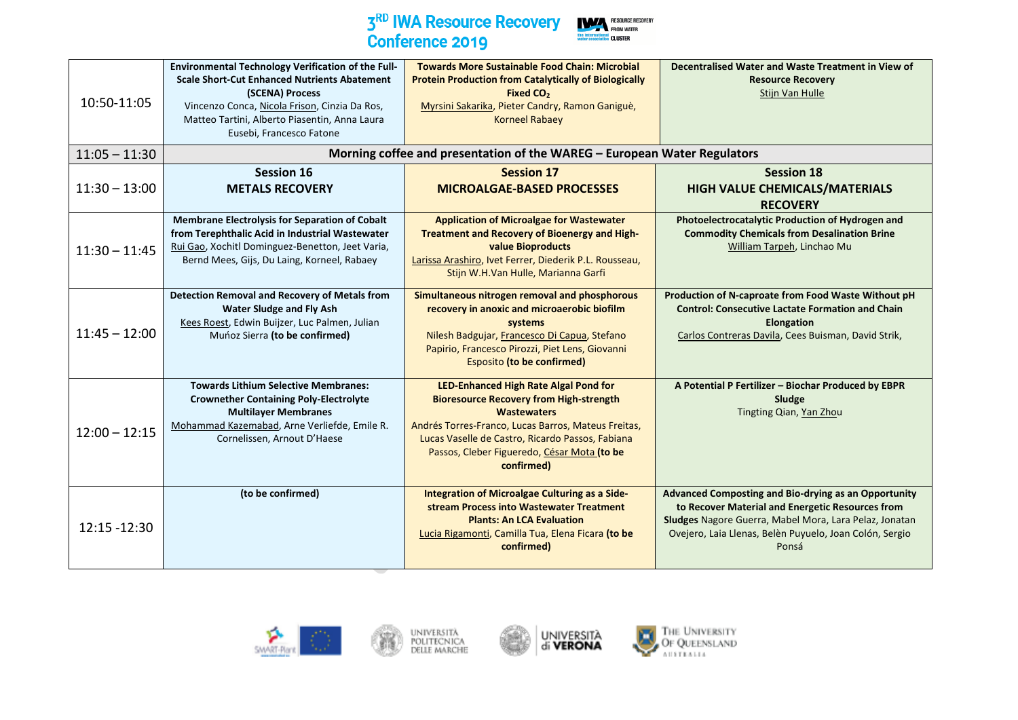

| 10:50-11:05     | Environmental Technology Verification of the Full-<br><b>Scale Short-Cut Enhanced Nutrients Abatement</b><br>(SCENA) Process<br>Vincenzo Conca, Nicola Frison, Cinzia Da Ros,<br>Matteo Tartini, Alberto Piasentin, Anna Laura<br>Eusebi, Francesco Fatone | <b>Towards More Sustainable Food Chain: Microbial</b><br><b>Protein Production from Catalytically of Biologically</b><br>Fixed CO <sub>2</sub><br>Myrsini Sakarika, Pieter Candry, Ramon Ganiguè,<br><b>Korneel Rabaev</b>                                                            | Decentralised Water and Waste Treatment in View of<br><b>Resource Recovery</b><br>Stijn Van Hulle                                                                                                                                      |
|-----------------|------------------------------------------------------------------------------------------------------------------------------------------------------------------------------------------------------------------------------------------------------------|---------------------------------------------------------------------------------------------------------------------------------------------------------------------------------------------------------------------------------------------------------------------------------------|----------------------------------------------------------------------------------------------------------------------------------------------------------------------------------------------------------------------------------------|
| $11:05 - 11:30$ |                                                                                                                                                                                                                                                            | Morning coffee and presentation of the WAREG - European Water Regulators                                                                                                                                                                                                              |                                                                                                                                                                                                                                        |
| $11:30 - 13:00$ | <b>Session 16</b><br><b>METALS RECOVERY</b>                                                                                                                                                                                                                | <b>Session 17</b><br><b>MICROALGAE-BASED PROCESSES</b>                                                                                                                                                                                                                                | <b>Session 18</b><br>HIGH VALUE CHEMICALS/MATERIALS<br><b>RECOVERY</b>                                                                                                                                                                 |
| $11:30 - 11:45$ | <b>Membrane Electrolysis for Separation of Cobalt</b><br>from Terephthalic Acid in Industrial Wastewater<br>Rui Gao, Xochitl Dominguez-Benetton, Jeet Varia,<br>Bernd Mees, Gijs, Du Laing, Korneel, Rabaey                                                | <b>Application of Microalgae for Wastewater</b><br>Treatment and Recovery of Bioenergy and High-<br>value Bioproducts<br>Larissa Arashiro, Ivet Ferrer, Diederik P.L. Rousseau,<br>Stijn W.H.Van Hulle, Marianna Garfi                                                                | Photoelectrocatalytic Production of Hydrogen and<br><b>Commodity Chemicals from Desalination Brine</b><br>William Tarpeh, Linchao Mu                                                                                                   |
| $11:45 - 12:00$ | <b>Detection Removal and Recovery of Metals from</b><br><b>Water Sludge and Fly Ash</b><br>Kees Roest, Edwin Buijzer, Luc Palmen, Julian<br>Munoz Sierra (to be confirmed)                                                                                 | Simultaneous nitrogen removal and phosphorous<br>recovery in anoxic and microaerobic biofilm<br>systems<br>Nilesh Badgujar, Francesco Di Capua, Stefano<br>Papirio, Francesco Pirozzi, Piet Lens, Giovanni<br>Esposito (to be confirmed)                                              | Production of N-caproate from Food Waste Without pH<br><b>Control: Consecutive Lactate Formation and Chain</b><br><b>Elongation</b><br>Carlos Contreras Davila, Cees Buisman, David Strik,                                             |
| $12:00 - 12:15$ | <b>Towards Lithium Selective Membranes:</b><br><b>Crownether Containing Poly-Electrolyte</b><br><b>Multilayer Membranes</b><br>Mohammad Kazemabad, Arne Verliefde, Emile R.<br>Cornelissen, Arnout D'Haese                                                 | LED-Enhanced High Rate Algal Pond for<br><b>Bioresource Recovery from High-strength</b><br><b>Wastewaters</b><br>Andrés Torres-Franco, Lucas Barros, Mateus Freitas,<br>Lucas Vaselle de Castro, Ricardo Passos, Fabiana<br>Passos, Cleber Figueredo, César Mota (to be<br>confirmed) | A Potential P Fertilizer - Biochar Produced by EBPR<br>Sludge<br>Tingting Qian, Yan Zhou                                                                                                                                               |
| 12:15 -12:30    | (to be confirmed)                                                                                                                                                                                                                                          | Integration of Microalgae Culturing as a Side-<br>stream Process into Wastewater Treatment<br><b>Plants: An LCA Evaluation</b><br>Lucia Rigamonti, Camilla Tua, Elena Ficara (to be<br>confirmed)                                                                                     | Advanced Composting and Bio-drying as an Opportunity<br>to Recover Material and Energetic Resources from<br>Sludges Nagore Guerra, Mabel Mora, Lara Pelaz, Jonatan<br>Ovejero, Laia Llenas, Belèn Puyuelo, Joan Colón, Sergio<br>Ponsá |